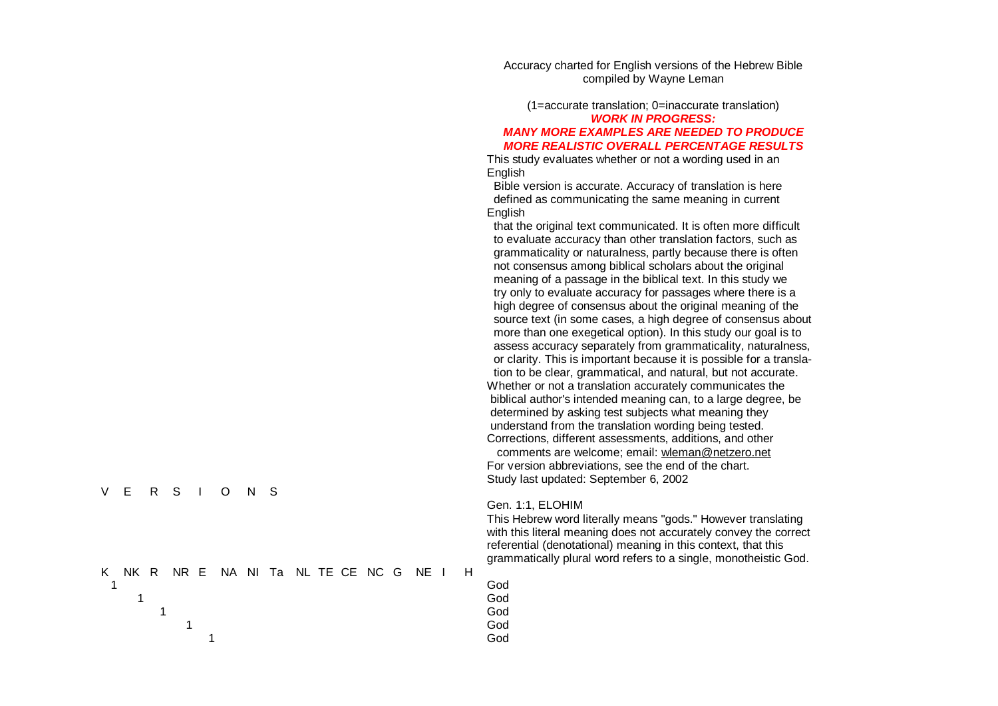Accuracy charted for English versions of the Hebrew Bible compiled by Wayne Leman

(1=accurate translation; 0=inaccurate translation) *WORK IN PROGRESS: MANY MORE EXAMPLES ARE NEEDED TO PRODUCE MORE REALISTIC OVERALL PERCENTAGE RESULTS* 

This study evaluates whether or not a wording used in an Engli sh

Bible version is accurate. Accuracy of translation is here defined as communicating the same meaning in current Engli sh

that the original text communicated. It is often more difficult to evaluate accuracy than other translation factors, such as grammaticality or naturalness, partly because there is often not consensus among biblical scholars about the original meaning of a passage in the biblical text. In this study we try only to evaluate accuracy for passages where there is a high degree of consensus about the original meaning of the source text (in some cases, a high degree of consensus about more than one exegetical option). In this study our goal is to assess accuracy separately from grammaticality, naturalness, or clarity. This is important because it is possible for a translation to be clear, grammatical, and natural, but not accurate. Whether or not a translation accurately communicates the biblical author's intended meaning can, to a large degree, be determined by asking test subjects what meaning they understand from the translation wording being tested. Corrections, different assessments, additions, and other comments are welcome; email: wleman[@ne](mailto:wleman@netzero.net)tzero.net For version abbreviations, see the end of the chart. Study last updated: September 6, 2002

### Gen. 1:1, ELOHIM

G od

G od

G od

G od

G od

This Hebrew word literally means "gods." However translating with this literal meaning does not accurately convey the correct referential (denotational) meaning in this context, that this grammatically plural word refers to a single, monotheistic God.

|  |  | K NK R NR E NA NITa NL TE CE NC G NE I H |  |  |  |  |  |
|--|--|------------------------------------------|--|--|--|--|--|
|  |  |                                          |  |  |  |  |  |
|  |  |                                          |  |  |  |  |  |

V E R S I O N S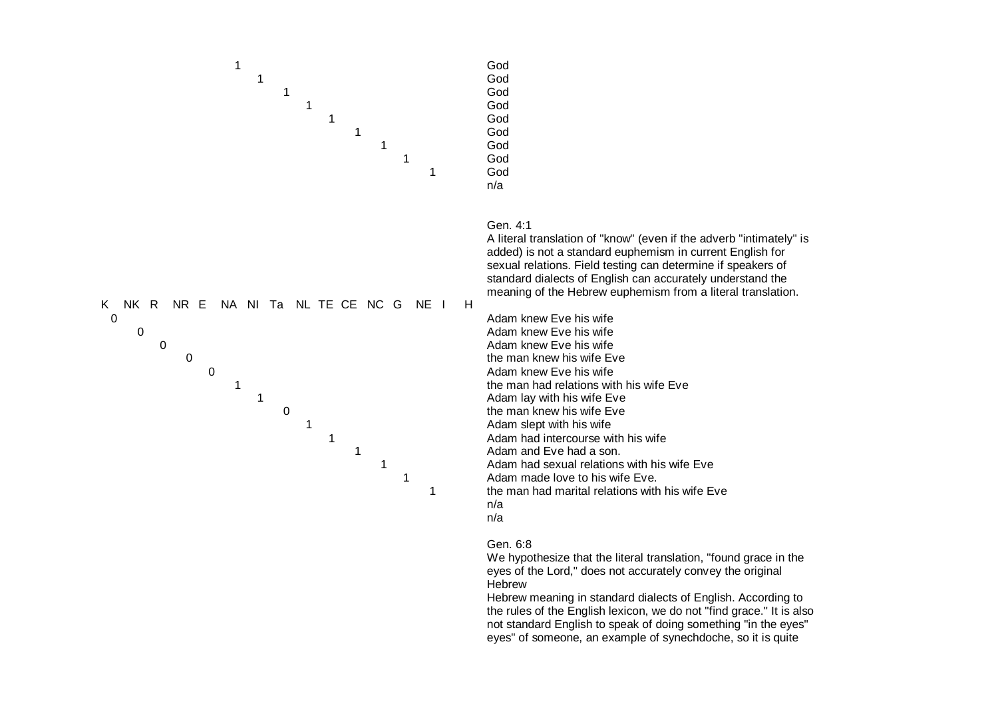

Gen. 4:1

A literal translation of "know" (even if the adverb "intimately" is added) is not a standard euphemism in current English for sexual relations. Field testing can determine if speakers of standard dialects of English can accurately understand the meaning of the Hebrew euphemism from a literal translation.



**1** Adam had intercourse with his wife Adam had sexual relations with his wife Eve Adam made love to his wife Eve. the man had marital relations with his wife Eve n/a n/a

# Gen. 6:8

We hypothesize that the literal translation, "found grace in the eyes of the Lord," does not accurately convey the original **Hebrew** 

Hebrew meaning in standard dialects of English. According to the rules of the English lexicon, we do not "find grace." It is also not standard English to speak of doing something "in the eyes" eyes" of someone, an example of synechdoche, so it is quite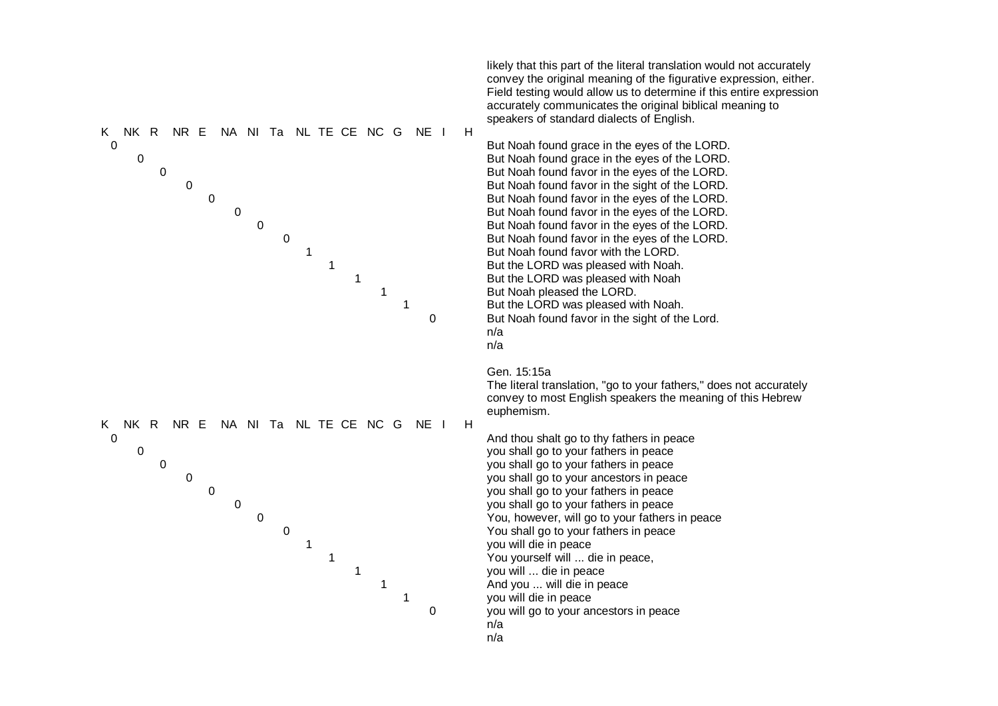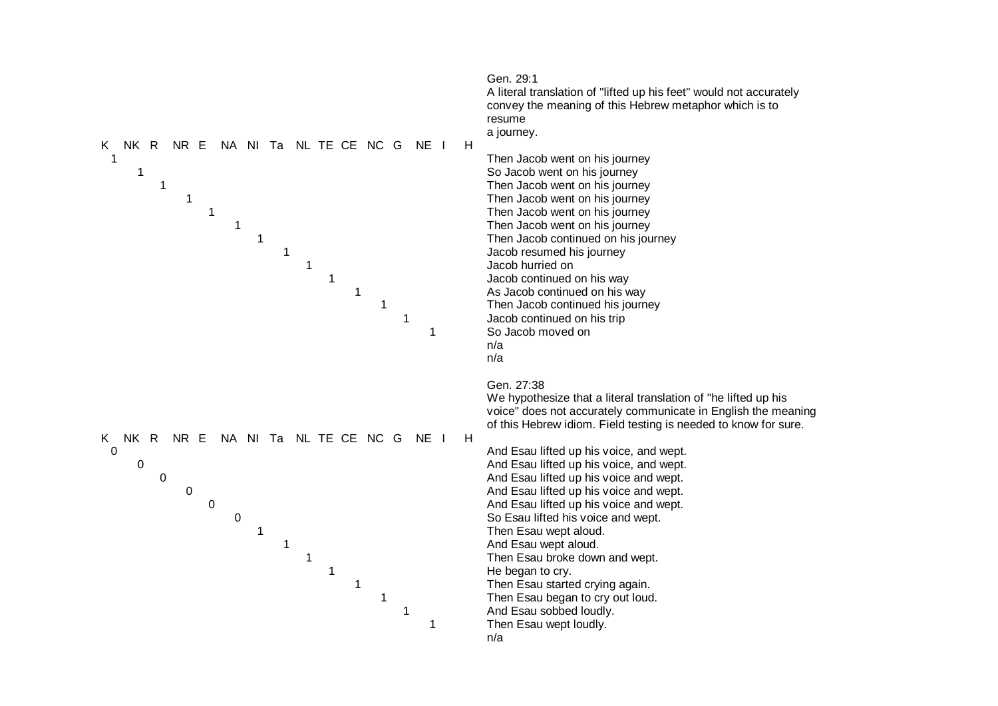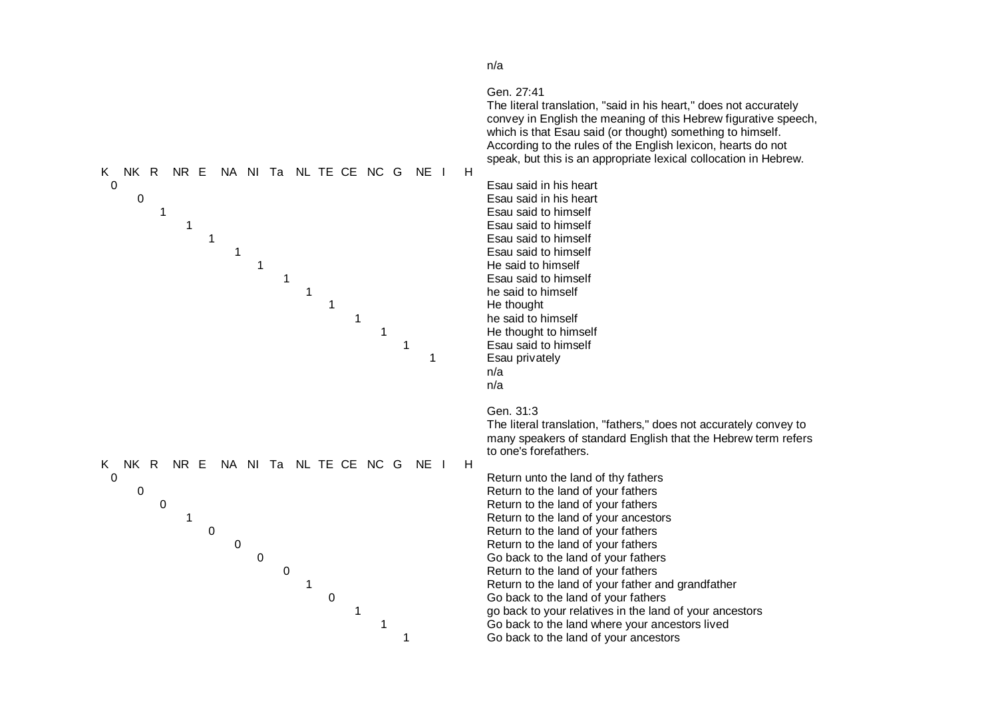

n/a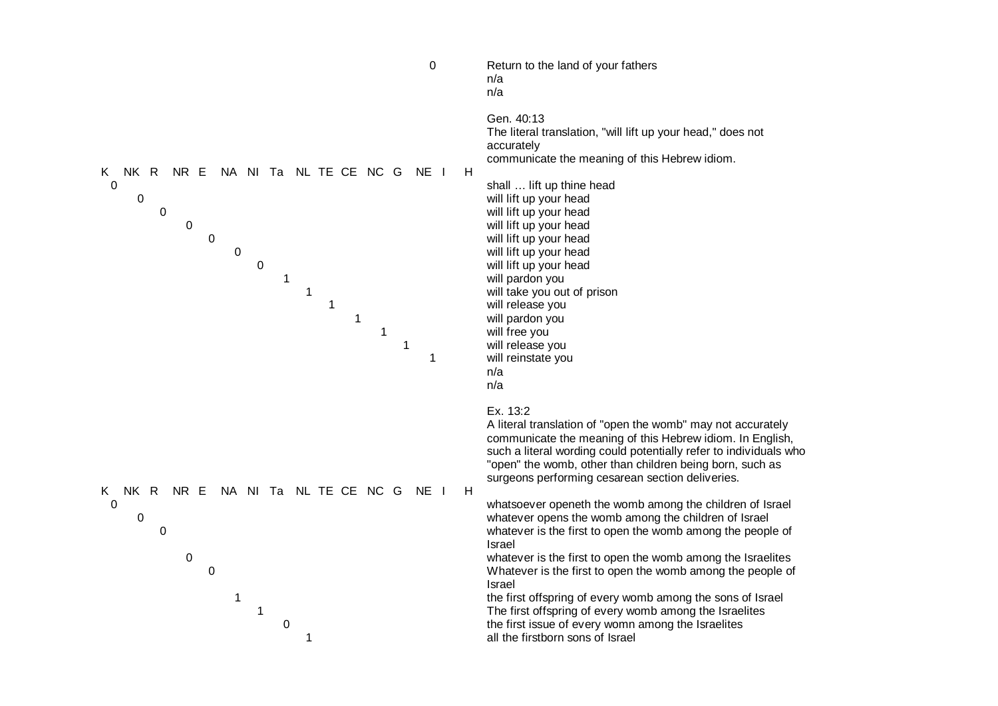| $\boldsymbol{0}$                                                                                                                                                                                                           | Return to the land of your fathers<br>n/a<br>n/a                                                                                                                                                                                                                                                                                                                                                                                                                                                                                                                                                                                                                                                                                                                                                                                                                                    |
|----------------------------------------------------------------------------------------------------------------------------------------------------------------------------------------------------------------------------|-------------------------------------------------------------------------------------------------------------------------------------------------------------------------------------------------------------------------------------------------------------------------------------------------------------------------------------------------------------------------------------------------------------------------------------------------------------------------------------------------------------------------------------------------------------------------------------------------------------------------------------------------------------------------------------------------------------------------------------------------------------------------------------------------------------------------------------------------------------------------------------|
| NK R<br>NR E<br>NA NI Ta NL TE CE NC G<br>NE I<br>K.<br>0<br>$\boldsymbol{0}$<br>$\mathbf 0$<br>0<br>$\pmb{0}$<br>$\boldsymbol{0}$<br>$\boldsymbol{0}$<br>$\mathbf{1}$<br>1<br>$\mathbf{1}$<br>$\mathbf{1}$<br>1<br>1<br>1 | Gen. 40:13<br>The literal translation, "will lift up your head," does not<br>accurately<br>communicate the meaning of this Hebrew idiom.<br>H.<br>shall  lift up thine head<br>will lift up your head<br>will lift up your head<br>will lift up your head<br>will lift up your head<br>will lift up your head<br>will lift up your head<br>will pardon you<br>will take you out of prison<br>will release you<br>will pardon you<br>will free you<br>will release you<br>will reinstate you<br>n/a<br>n/a                                                                                                                                                                                                                                                                                                                                                                           |
| NK R<br>NR E<br>NA NI Ta NL TE CE NC G<br>NE I<br>K<br>$\mathbf 0$<br>$\pmb{0}$<br>0<br>$\mathbf 0$<br>$\mathbf 0$<br>1<br>1<br>0<br>1                                                                                     | Ex. 13:2<br>A literal translation of "open the womb" may not accurately<br>communicate the meaning of this Hebrew idiom. In English,<br>such a literal wording could potentially refer to individuals who<br>"open" the womb, other than children being born, such as<br>surgeons performing cesarean section deliveries.<br>H<br>whatsoever openeth the womb among the children of Israel<br>whatever opens the womb among the children of Israel<br>whatever is the first to open the womb among the people of<br>Israel<br>whatever is the first to open the womb among the Israelites<br>Whatever is the first to open the womb among the people of<br>Israel<br>the first offspring of every womb among the sons of Israel<br>The first offspring of every womb among the Israelites<br>the first issue of every womn among the Israelites<br>all the firstborn sons of Israel |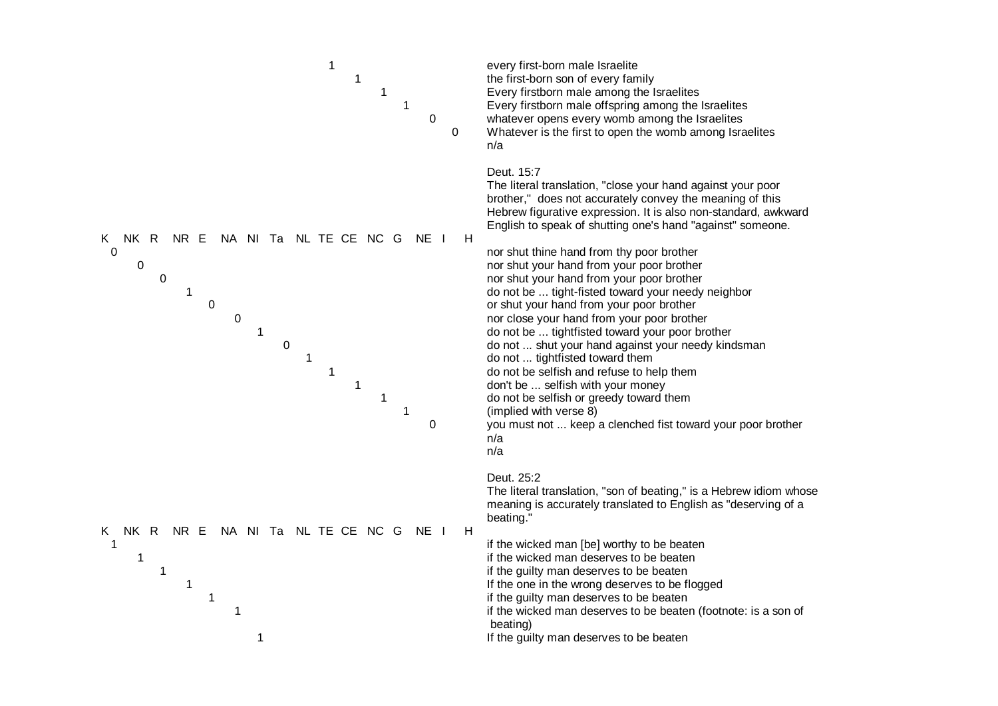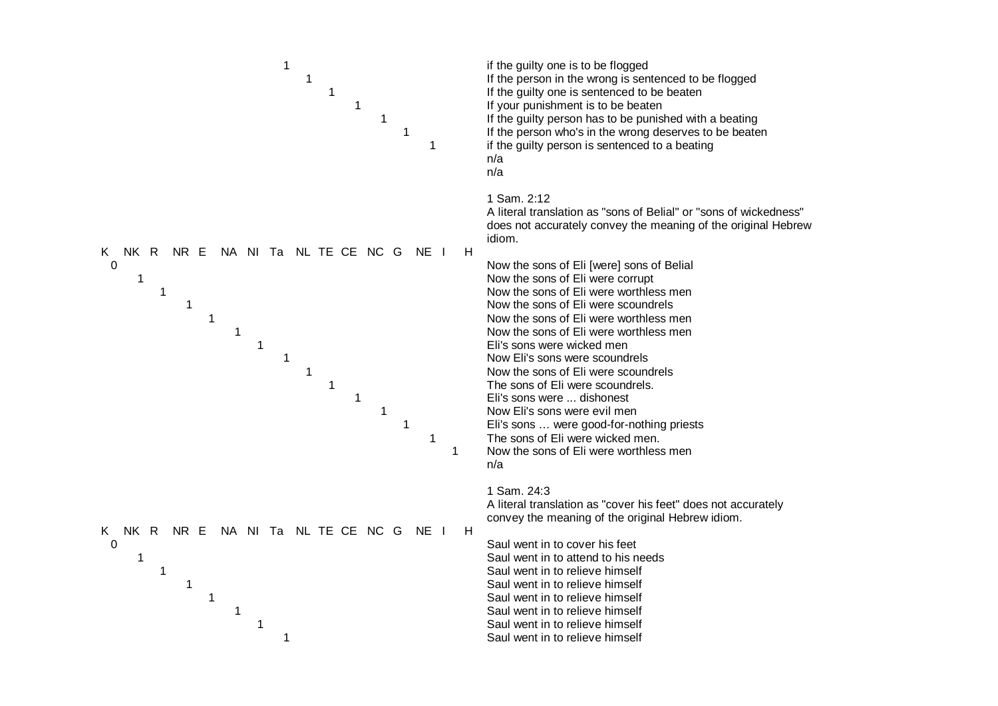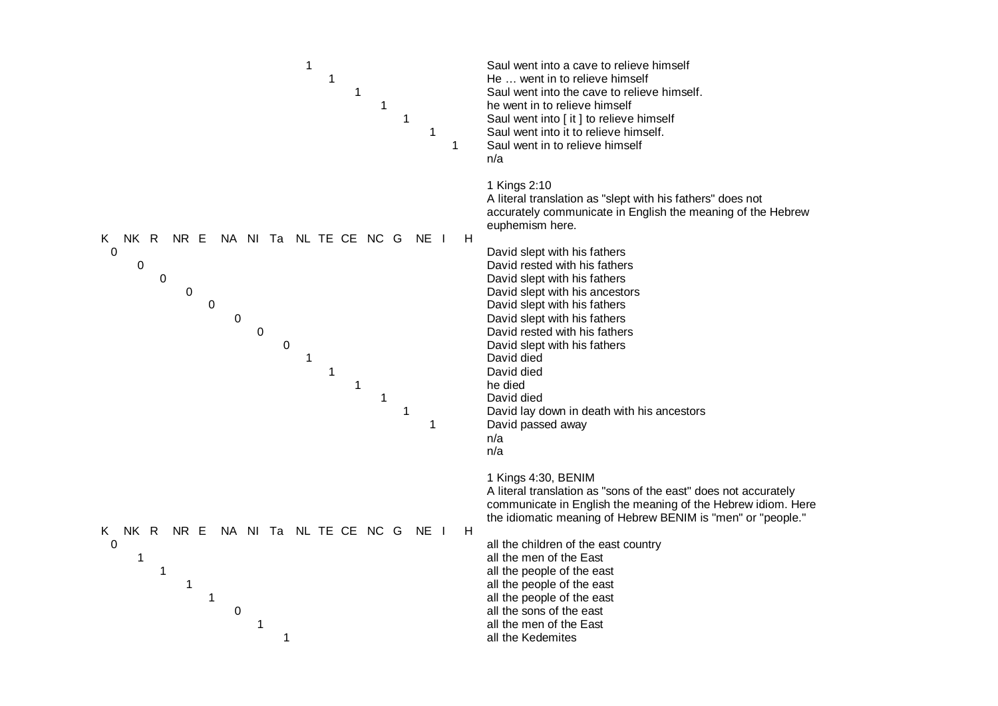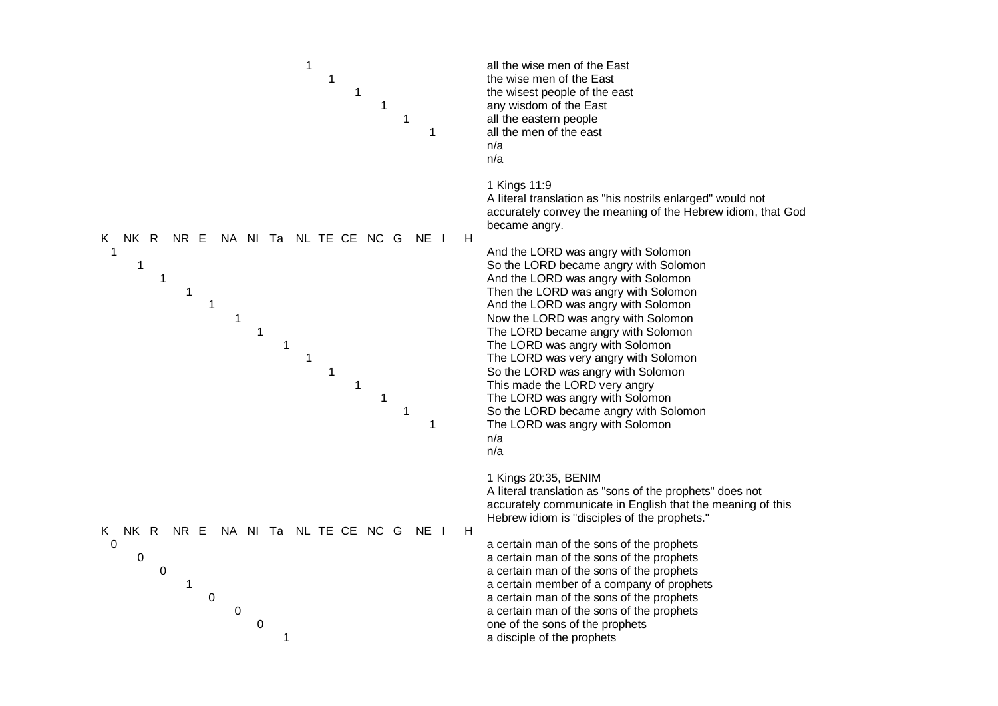![](_page_9_Figure_0.jpeg)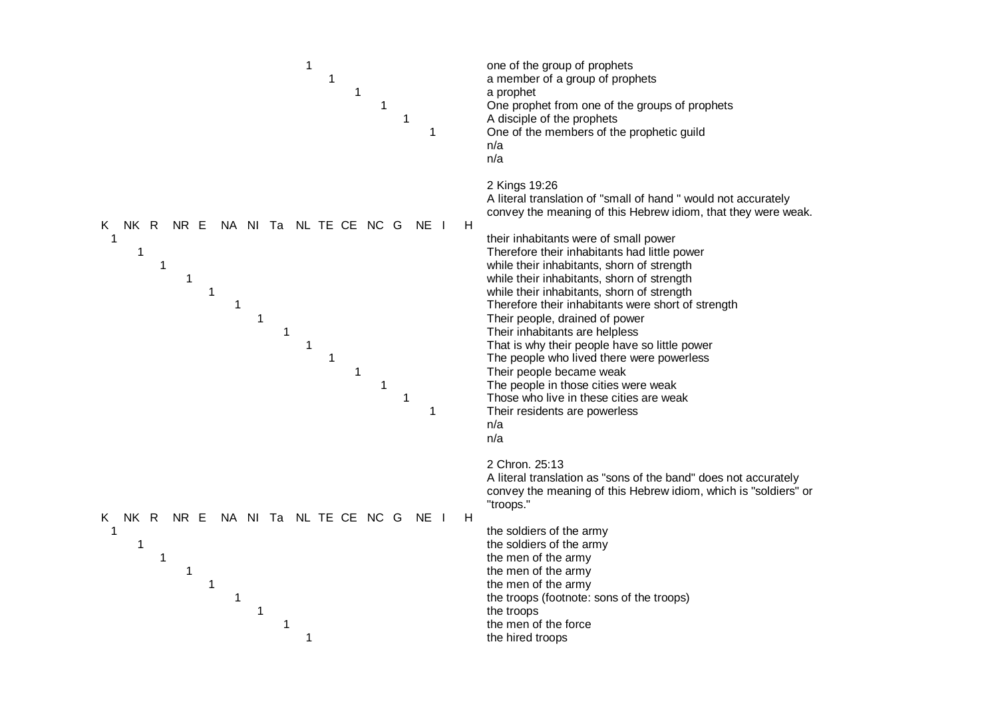![](_page_10_Figure_0.jpeg)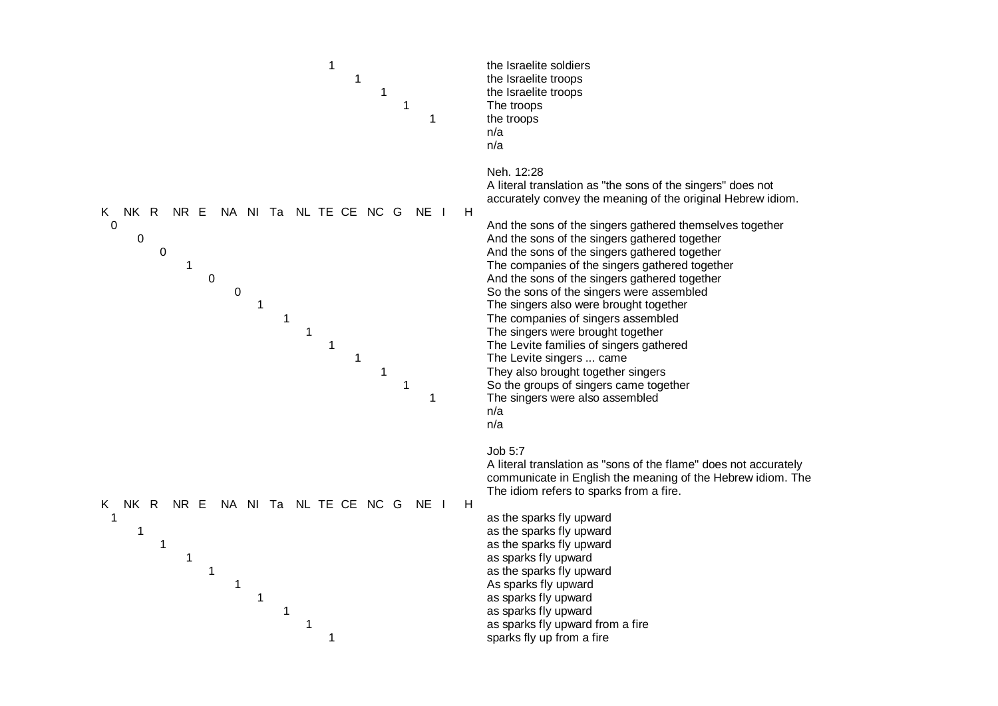![](_page_11_Figure_0.jpeg)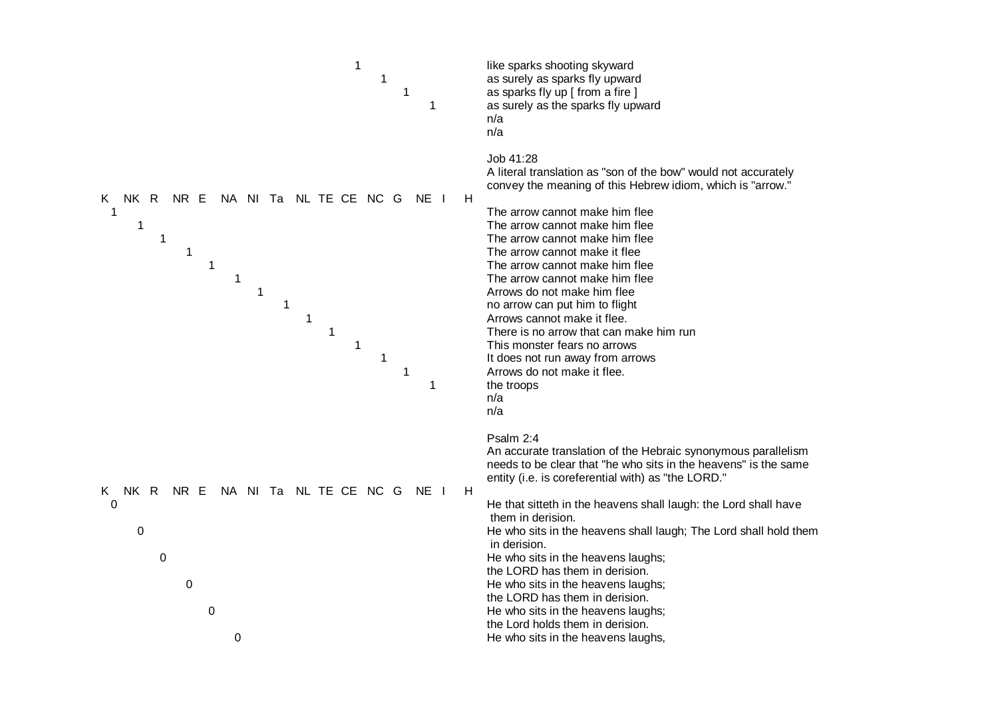![](_page_12_Figure_0.jpeg)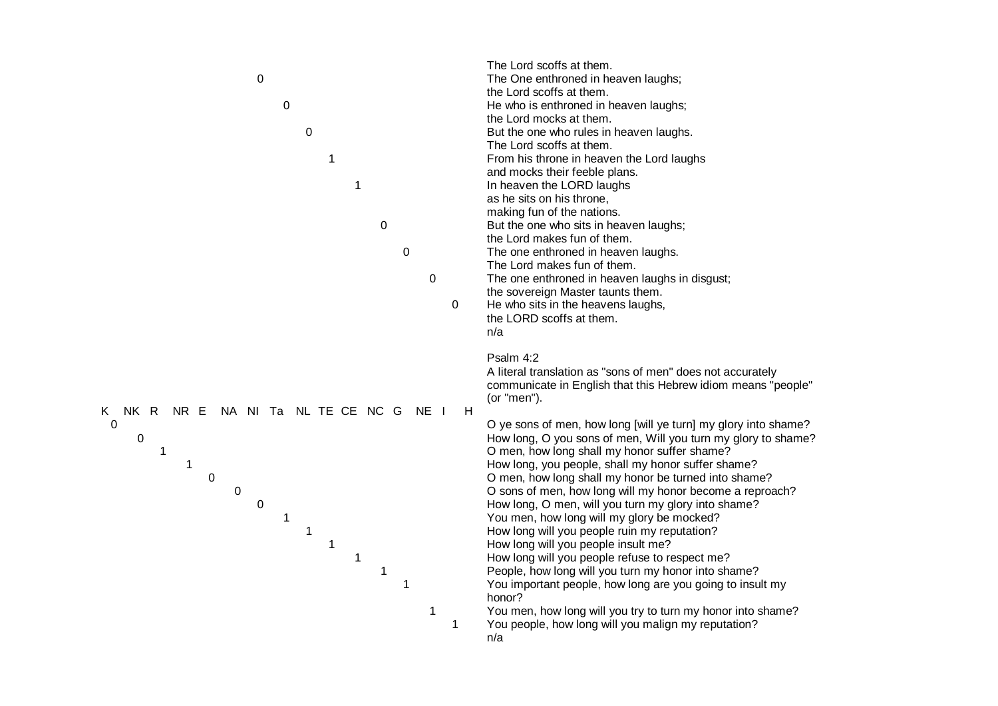|                                                                                                                                                                                                                        | The Lord scoffs at them.                                                                                                                                                                                                                                                                                                                                                                                                                                                                                                                                                                                                                                                                                                                                                                                                                                                                                                                                                                                                     |
|------------------------------------------------------------------------------------------------------------------------------------------------------------------------------------------------------------------------|------------------------------------------------------------------------------------------------------------------------------------------------------------------------------------------------------------------------------------------------------------------------------------------------------------------------------------------------------------------------------------------------------------------------------------------------------------------------------------------------------------------------------------------------------------------------------------------------------------------------------------------------------------------------------------------------------------------------------------------------------------------------------------------------------------------------------------------------------------------------------------------------------------------------------------------------------------------------------------------------------------------------------|
| 0                                                                                                                                                                                                                      | The One enthroned in heaven laughs;                                                                                                                                                                                                                                                                                                                                                                                                                                                                                                                                                                                                                                                                                                                                                                                                                                                                                                                                                                                          |
|                                                                                                                                                                                                                        | the Lord scoffs at them.                                                                                                                                                                                                                                                                                                                                                                                                                                                                                                                                                                                                                                                                                                                                                                                                                                                                                                                                                                                                     |
| $\mathbf 0$                                                                                                                                                                                                            | He who is enthroned in heaven laughs;                                                                                                                                                                                                                                                                                                                                                                                                                                                                                                                                                                                                                                                                                                                                                                                                                                                                                                                                                                                        |
|                                                                                                                                                                                                                        | the Lord mocks at them.                                                                                                                                                                                                                                                                                                                                                                                                                                                                                                                                                                                                                                                                                                                                                                                                                                                                                                                                                                                                      |
| 0                                                                                                                                                                                                                      | But the one who rules in heaven laughs.                                                                                                                                                                                                                                                                                                                                                                                                                                                                                                                                                                                                                                                                                                                                                                                                                                                                                                                                                                                      |
|                                                                                                                                                                                                                        | The Lord scoffs at them.                                                                                                                                                                                                                                                                                                                                                                                                                                                                                                                                                                                                                                                                                                                                                                                                                                                                                                                                                                                                     |
| 1                                                                                                                                                                                                                      | From his throne in heaven the Lord laughs                                                                                                                                                                                                                                                                                                                                                                                                                                                                                                                                                                                                                                                                                                                                                                                                                                                                                                                                                                                    |
|                                                                                                                                                                                                                        | and mocks their feeble plans.                                                                                                                                                                                                                                                                                                                                                                                                                                                                                                                                                                                                                                                                                                                                                                                                                                                                                                                                                                                                |
| 1                                                                                                                                                                                                                      | In heaven the LORD laughs                                                                                                                                                                                                                                                                                                                                                                                                                                                                                                                                                                                                                                                                                                                                                                                                                                                                                                                                                                                                    |
|                                                                                                                                                                                                                        | as he sits on his throne,                                                                                                                                                                                                                                                                                                                                                                                                                                                                                                                                                                                                                                                                                                                                                                                                                                                                                                                                                                                                    |
|                                                                                                                                                                                                                        | making fun of the nations.                                                                                                                                                                                                                                                                                                                                                                                                                                                                                                                                                                                                                                                                                                                                                                                                                                                                                                                                                                                                   |
| 0                                                                                                                                                                                                                      | But the one who sits in heaven laughs;                                                                                                                                                                                                                                                                                                                                                                                                                                                                                                                                                                                                                                                                                                                                                                                                                                                                                                                                                                                       |
|                                                                                                                                                                                                                        | the Lord makes fun of them.                                                                                                                                                                                                                                                                                                                                                                                                                                                                                                                                                                                                                                                                                                                                                                                                                                                                                                                                                                                                  |
| 0                                                                                                                                                                                                                      | The one enthroned in heaven laughs.                                                                                                                                                                                                                                                                                                                                                                                                                                                                                                                                                                                                                                                                                                                                                                                                                                                                                                                                                                                          |
|                                                                                                                                                                                                                        | The Lord makes fun of them.                                                                                                                                                                                                                                                                                                                                                                                                                                                                                                                                                                                                                                                                                                                                                                                                                                                                                                                                                                                                  |
| $\mathbf 0$                                                                                                                                                                                                            | The one enthroned in heaven laughs in disgust;                                                                                                                                                                                                                                                                                                                                                                                                                                                                                                                                                                                                                                                                                                                                                                                                                                                                                                                                                                               |
|                                                                                                                                                                                                                        | the sovereign Master taunts them.                                                                                                                                                                                                                                                                                                                                                                                                                                                                                                                                                                                                                                                                                                                                                                                                                                                                                                                                                                                            |
| 0                                                                                                                                                                                                                      | He who sits in the heavens laughs,                                                                                                                                                                                                                                                                                                                                                                                                                                                                                                                                                                                                                                                                                                                                                                                                                                                                                                                                                                                           |
|                                                                                                                                                                                                                        | the LORD scoffs at them.                                                                                                                                                                                                                                                                                                                                                                                                                                                                                                                                                                                                                                                                                                                                                                                                                                                                                                                                                                                                     |
|                                                                                                                                                                                                                        | n/a                                                                                                                                                                                                                                                                                                                                                                                                                                                                                                                                                                                                                                                                                                                                                                                                                                                                                                                                                                                                                          |
| NK R NR E<br>NA NI Ta<br>NL TE CE NC G<br>NE I<br>H<br>K.<br>$\boldsymbol{0}$<br>0<br>1<br>1<br>$\boldsymbol{0}$<br>$\mathbf 0$<br>$\mathbf 0$<br>1<br>1<br>$\mathbf{1}$<br>$\mathbf{1}$<br>$\mathbf 1$<br>1<br>1<br>1 | Psalm 4:2<br>A literal translation as "sons of men" does not accurately<br>communicate in English that this Hebrew idiom means "people"<br>(or "men").<br>O ye sons of men, how long [will ye turn] my glory into shame?<br>How long, O you sons of men, Will you turn my glory to shame?<br>O men, how long shall my honor suffer shame?<br>How long, you people, shall my honor suffer shame?<br>O men, how long shall my honor be turned into shame?<br>O sons of men, how long will my honor become a reproach?<br>How long, O men, will you turn my glory into shame?<br>You men, how long will my glory be mocked?<br>How long will you people ruin my reputation?<br>How long will you people insult me?<br>How long will you people refuse to respect me?<br>People, how long will you turn my honor into shame?<br>You important people, how long are you going to insult my<br>honor?<br>You men, how long will you try to turn my honor into shame?<br>You people, how long will you malign my reputation?<br>n/a |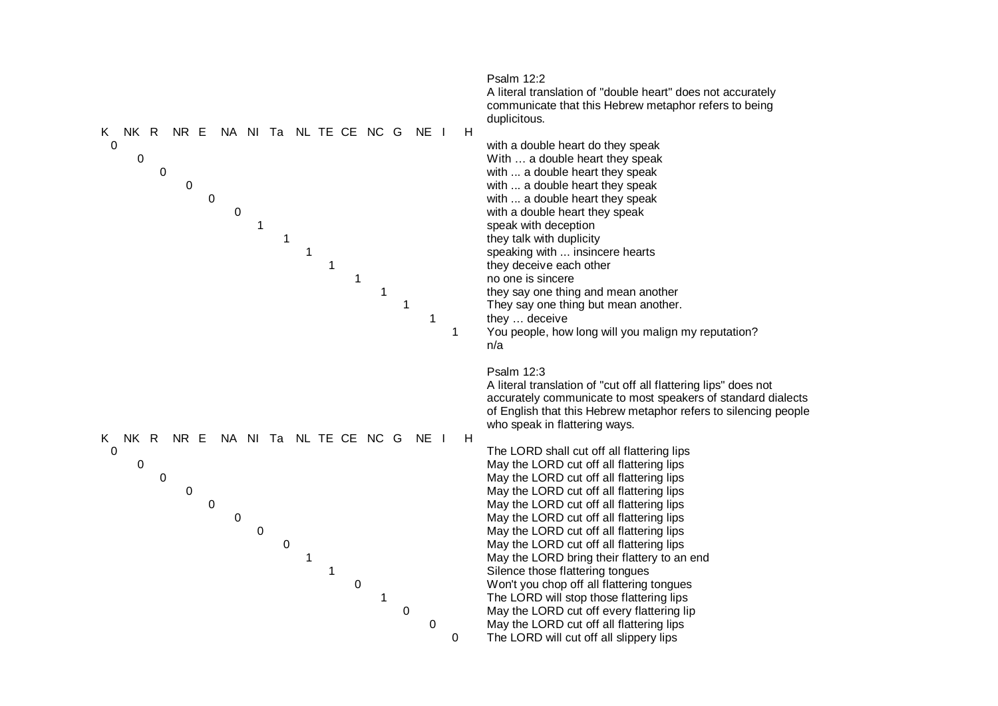![](_page_14_Figure_0.jpeg)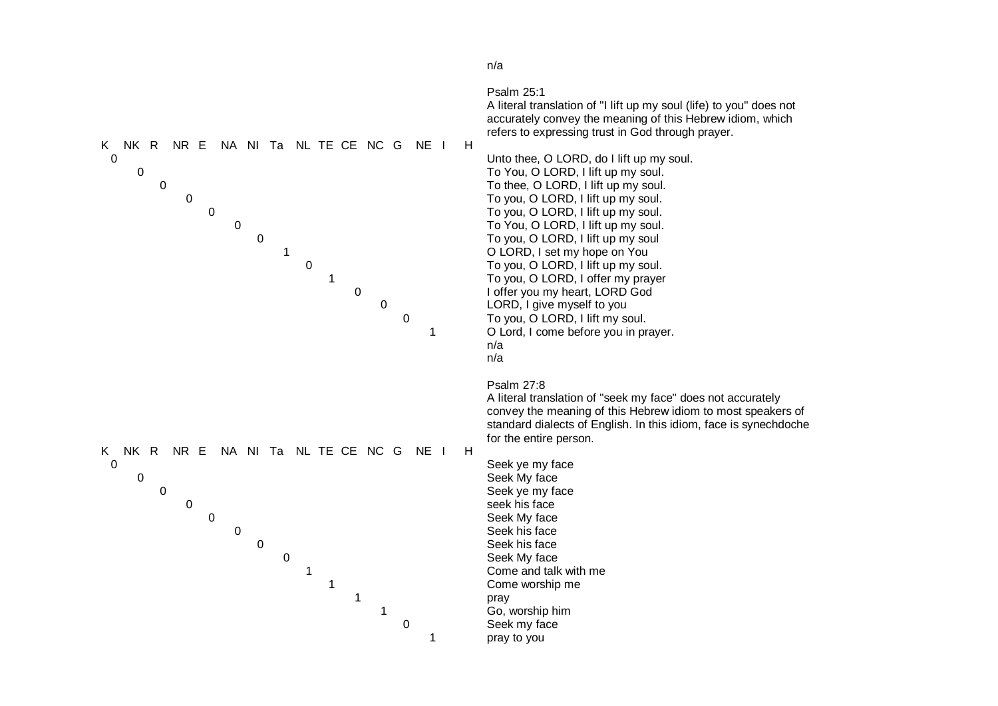![](_page_15_Figure_0.jpeg)

n/a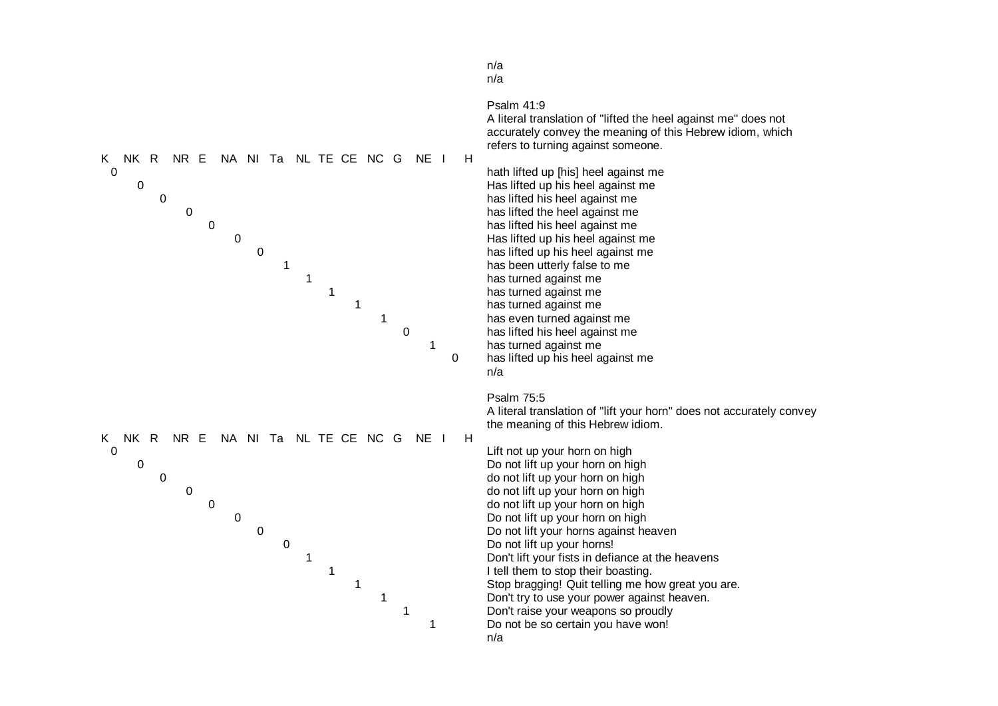![](_page_16_Figure_0.jpeg)

# n/a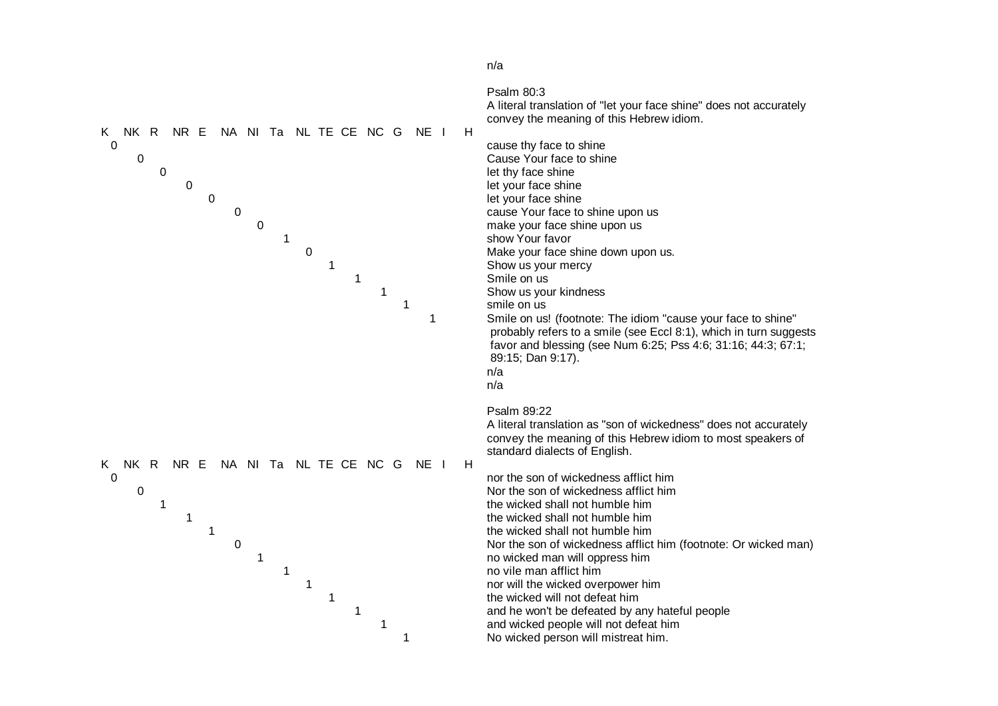![](_page_17_Figure_0.jpeg)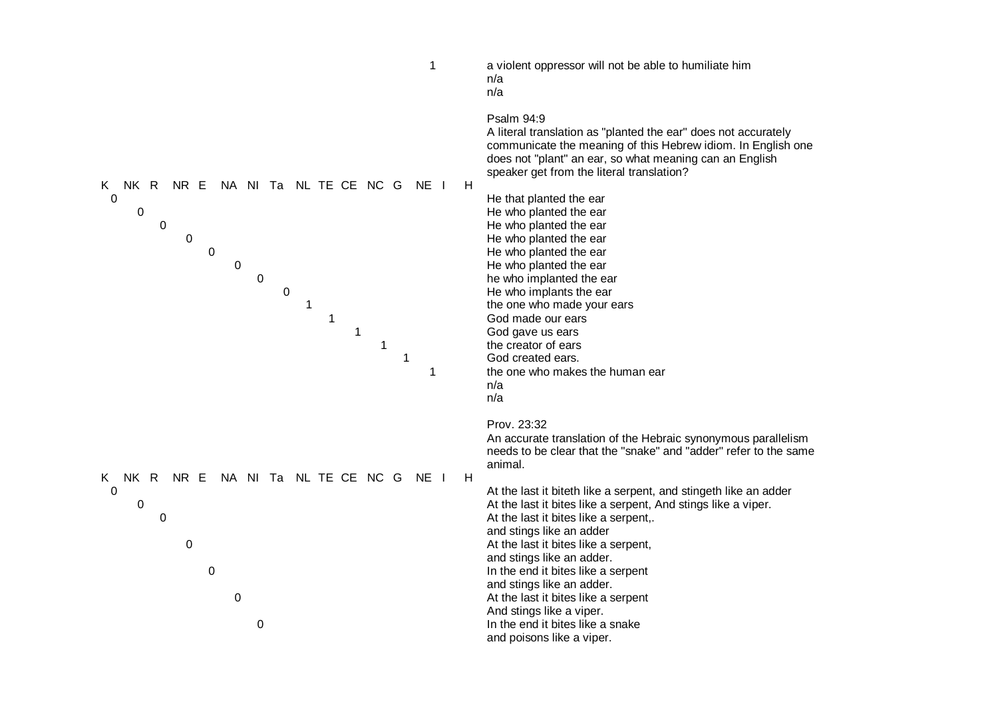| $\mathbf 1$                                                                                                                                                                                                          | a violent oppressor will not be able to humiliate him<br>n/a<br>n/a                                                                                                                                                                                                                                                                                                                                                                                                                                                                                                                                                                                    |
|----------------------------------------------------------------------------------------------------------------------------------------------------------------------------------------------------------------------|--------------------------------------------------------------------------------------------------------------------------------------------------------------------------------------------------------------------------------------------------------------------------------------------------------------------------------------------------------------------------------------------------------------------------------------------------------------------------------------------------------------------------------------------------------------------------------------------------------------------------------------------------------|
| NA NI Ta NL TE CE NC G<br>NK R<br>NR E<br>NE I<br>K<br>0<br>$\pmb{0}$<br>$\boldsymbol{0}$<br>$\pmb{0}$<br>$\mathbf 0$<br>$\mathbf 0$<br>$\mathbf 0$<br>$\pmb{0}$<br>1<br>$\mathbf{1}$<br>1<br>$\mathbf{1}$<br>1<br>1 | Psalm 94:9<br>A literal translation as "planted the ear" does not accurately<br>communicate the meaning of this Hebrew idiom. In English one<br>does not "plant" an ear, so what meaning can an English<br>speaker get from the literal translation?<br>H<br>He that planted the ear<br>He who planted the ear<br>He who planted the ear<br>He who planted the ear<br>He who planted the ear<br>He who planted the ear<br>he who implanted the ear<br>He who implants the ear<br>the one who made your ears<br>God made our ears<br>God gave us ears<br>the creator of ears<br>God created ears.<br>the one who makes the human ear<br>n/a<br>n/a      |
| NK R<br>NR E<br>NA NI Ta NL TE CE NC G NE I<br>K.<br>$\mathbf 0$<br>$\pmb{0}$<br>$\mathbf 0$<br>$\mathbf 0$<br>$\mathbf 0$<br>$\boldsymbol{0}$<br>$\boldsymbol{0}$                                                   | Prov. 23:32<br>An accurate translation of the Hebraic synonymous parallelism<br>needs to be clear that the "snake" and "adder" refer to the same<br>animal.<br>H<br>At the last it biteth like a serpent, and stingeth like an adder<br>At the last it bites like a serpent, And stings like a viper.<br>At the last it bites like a serpent,.<br>and stings like an adder<br>At the last it bites like a serpent,<br>and stings like an adder.<br>In the end it bites like a serpent<br>and stings like an adder.<br>At the last it bites like a serpent<br>And stings like a viper.<br>In the end it bites like a snake<br>and poisons like a viper. |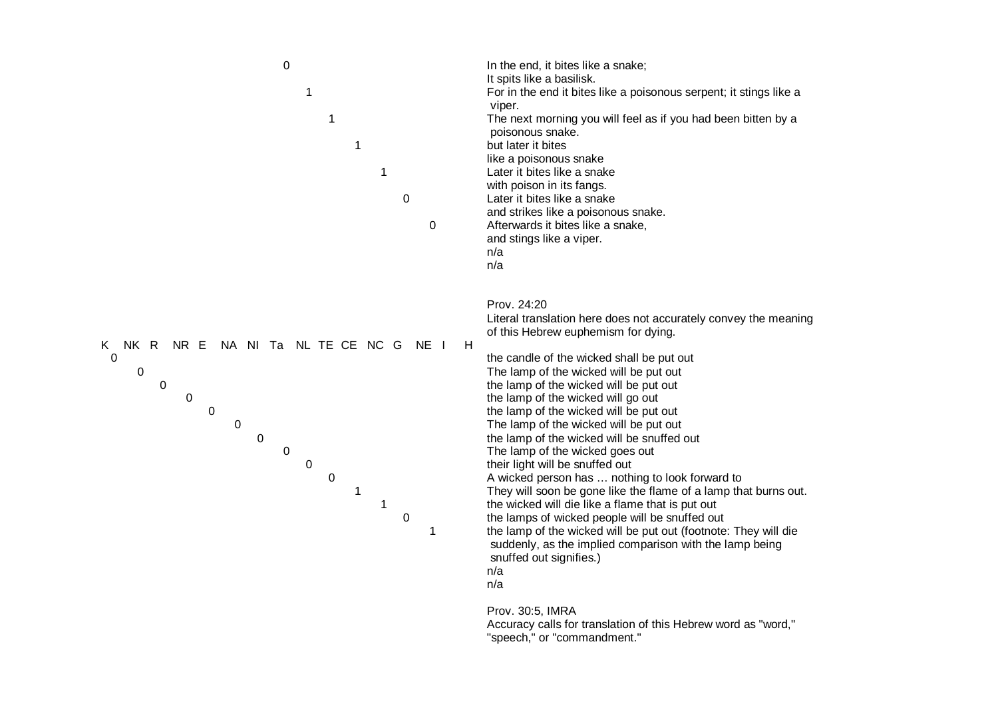| $\pmb{0}$<br>1<br>1<br>1<br>1<br>0<br>0                                                                                                                                                                                              | In the end, it bites like a snake;<br>It spits like a basilisk.<br>For in the end it bites like a poisonous serpent; it stings like a<br>viper.<br>The next morning you will feel as if you had been bitten by a<br>poisonous snake.<br>but later it bites<br>like a poisonous snake<br>Later it bites like a snake<br>with poison in its fangs.<br>Later it bites like a snake<br>and strikes like a poisonous snake.<br>Afterwards it bites like a snake,<br>and stings like a viper.<br>n/a<br>n/a                                                                                                                                                                                                                                                                                                                                                                                                   |
|--------------------------------------------------------------------------------------------------------------------------------------------------------------------------------------------------------------------------------------|---------------------------------------------------------------------------------------------------------------------------------------------------------------------------------------------------------------------------------------------------------------------------------------------------------------------------------------------------------------------------------------------------------------------------------------------------------------------------------------------------------------------------------------------------------------------------------------------------------------------------------------------------------------------------------------------------------------------------------------------------------------------------------------------------------------------------------------------------------------------------------------------------------|
| NR E<br>NA NI Ta NL TE CE NC G<br>NK R<br>K<br>NE I<br>H<br>0<br>0<br>$\mathbf 0$<br>$\mathbf 0$<br>$\pmb{0}$<br>$\boldsymbol{0}$<br>$\mathbf 0$<br>$\pmb{0}$<br>$\mathbf 0$<br>$\mathbf 0$<br>1<br>$\mathbf{1}$<br>$\mathbf 0$<br>1 | Prov. 24:20<br>Literal translation here does not accurately convey the meaning<br>of this Hebrew euphemism for dying.<br>the candle of the wicked shall be put out<br>The lamp of the wicked will be put out<br>the lamp of the wicked will be put out<br>the lamp of the wicked will go out<br>the lamp of the wicked will be put out<br>The lamp of the wicked will be put out<br>the lamp of the wicked will be snuffed out<br>The lamp of the wicked goes out<br>their light will be snuffed out<br>A wicked person has  nothing to look forward to<br>They will soon be gone like the flame of a lamp that burns out.<br>the wicked will die like a flame that is put out<br>the lamps of wicked people will be snuffed out<br>the lamp of the wicked will be put out (footnote: They will die<br>suddenly, as the implied comparison with the lamp being<br>snuffed out signifies.)<br>n/a<br>n/a |

Prov. 30:5, IMRA Accuracy calls for translation of this Hebrew word as "word," "speech," or "commandment."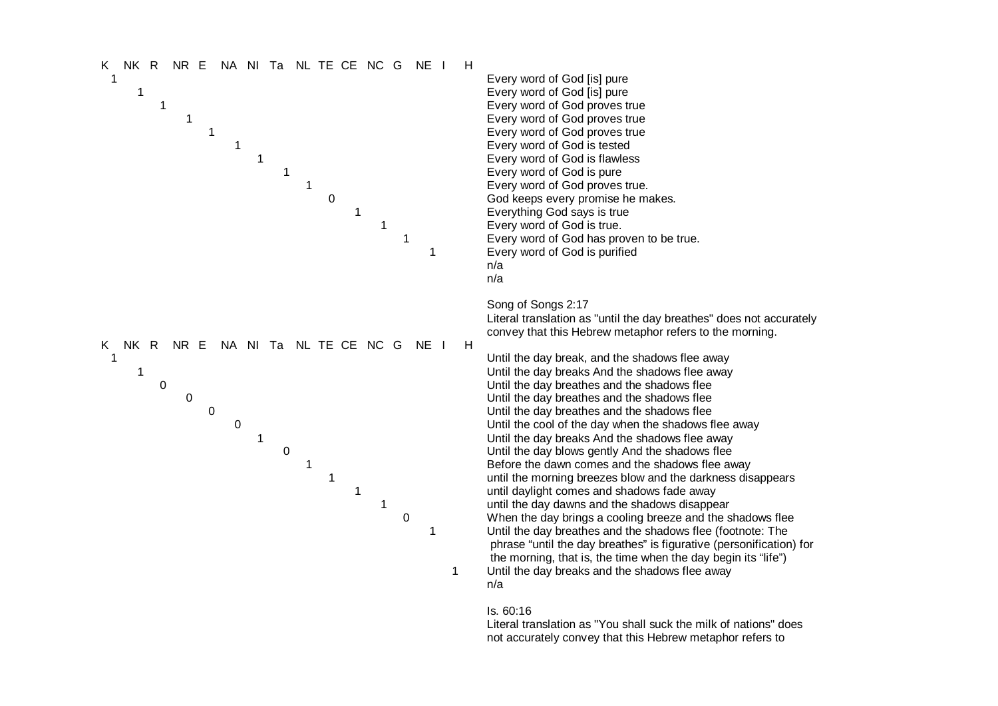![](_page_20_Figure_0.jpeg)

#### Is. 60:16

Literal translation as "You shall suck the milk of nations" does not accurately convey that this Hebrew metaphor refers to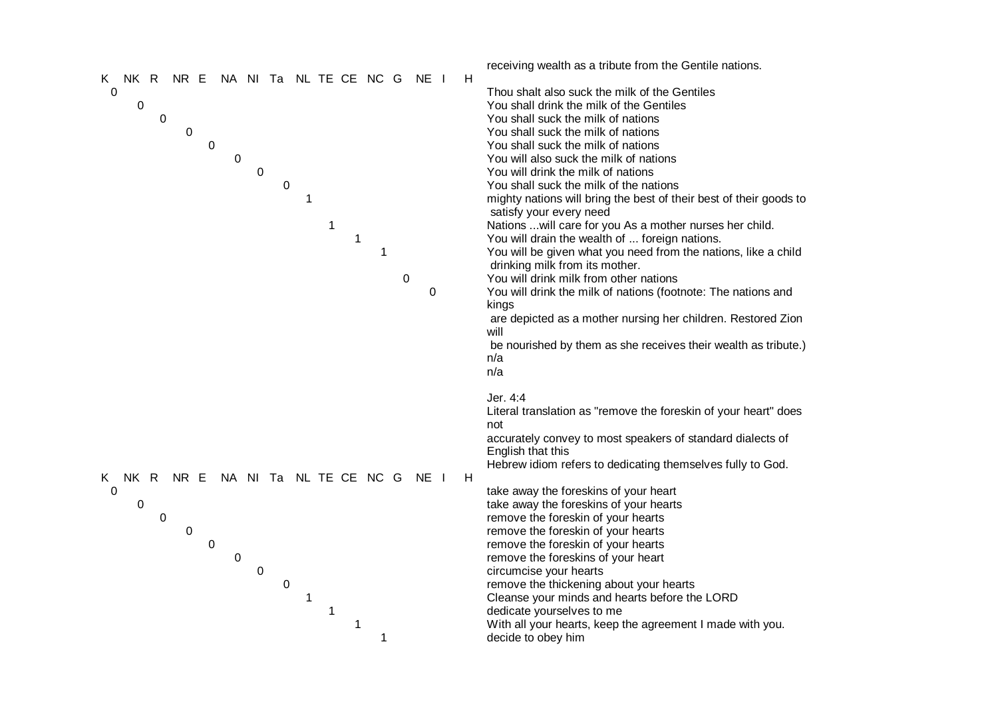|                                                      | receiving wealth as a tribute from the Gentile nations.            |
|------------------------------------------------------|--------------------------------------------------------------------|
| NR E<br>NA NI Ta NL TE CE NC G<br>NE I<br>NK R<br>K. | H<br>Thou shalt also suck the milk of the Gentiles                 |
| 0<br>0                                               | You shall drink the milk of the Gentiles                           |
| $\boldsymbol{0}$                                     | You shall suck the milk of nations                                 |
| 0                                                    | You shall suck the milk of nations                                 |
| $\boldsymbol{0}$                                     | You shall suck the milk of nations                                 |
| $\pmb{0}$                                            | You will also suck the milk of nations                             |
| $\boldsymbol{0}$                                     | You will drink the milk of nations                                 |
| 0                                                    | You shall suck the milk of the nations                             |
| 1                                                    | mighty nations will bring the best of their best of their goods to |
|                                                      | satisfy your every need                                            |
| 1                                                    | Nations  will care for you As a mother nurses her child.           |
| $\mathbf 1$                                          | You will drain the wealth of  foreign nations.                     |
| $\mathbf{1}$                                         | You will be given what you need from the nations, like a child     |
|                                                      | drinking milk from its mother.                                     |
| 0                                                    | You will drink milk from other nations                             |
| $\boldsymbol{0}$                                     | You will drink the milk of nations (footnote: The nations and      |
|                                                      | kings                                                              |
|                                                      | are depicted as a mother nursing her children. Restored Zion       |
|                                                      | will                                                               |
|                                                      | be nourished by them as she receives their wealth as tribute.)     |
|                                                      | n/a                                                                |
|                                                      | n/a                                                                |
|                                                      | Jer. 4:4                                                           |
|                                                      | Literal translation as "remove the foreskin of your heart" does    |
|                                                      | not                                                                |
|                                                      | accurately convey to most speakers of standard dialects of         |
|                                                      | English that this                                                  |
|                                                      | Hebrew idiom refers to dedicating themselves fully to God.         |
| NR E<br>NA NI Ta NL TE CE NC G<br>NE I<br>NK R<br>K. | H                                                                  |
| 0                                                    | take away the foreskins of your heart                              |
| 0                                                    | take away the foreskins of your hearts                             |
| $\boldsymbol{0}$                                     | remove the foreskin of your hearts                                 |
| 0                                                    | remove the foreskin of your hearts                                 |
| $\pmb{0}$                                            | remove the foreskin of your hearts                                 |
| 0                                                    | remove the foreskins of your heart                                 |
| $\mathbf 0$                                          | circumcise your hearts                                             |
| $\mathbf 0$                                          | remove the thickening about your hearts                            |
| 1                                                    | Cleanse your minds and hearts before the LORD                      |
| 1                                                    | dedicate yourselves to me                                          |
| 1                                                    | With all your hearts, keep the agreement I made with you.          |
| 1                                                    | decide to obey him                                                 |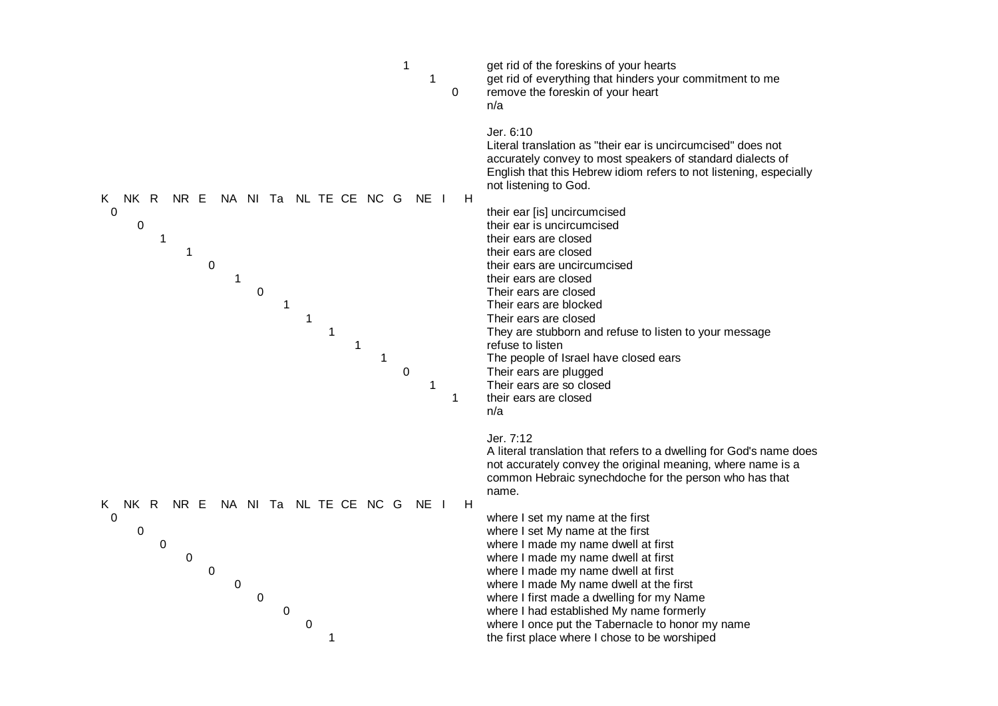![](_page_22_Figure_0.jpeg)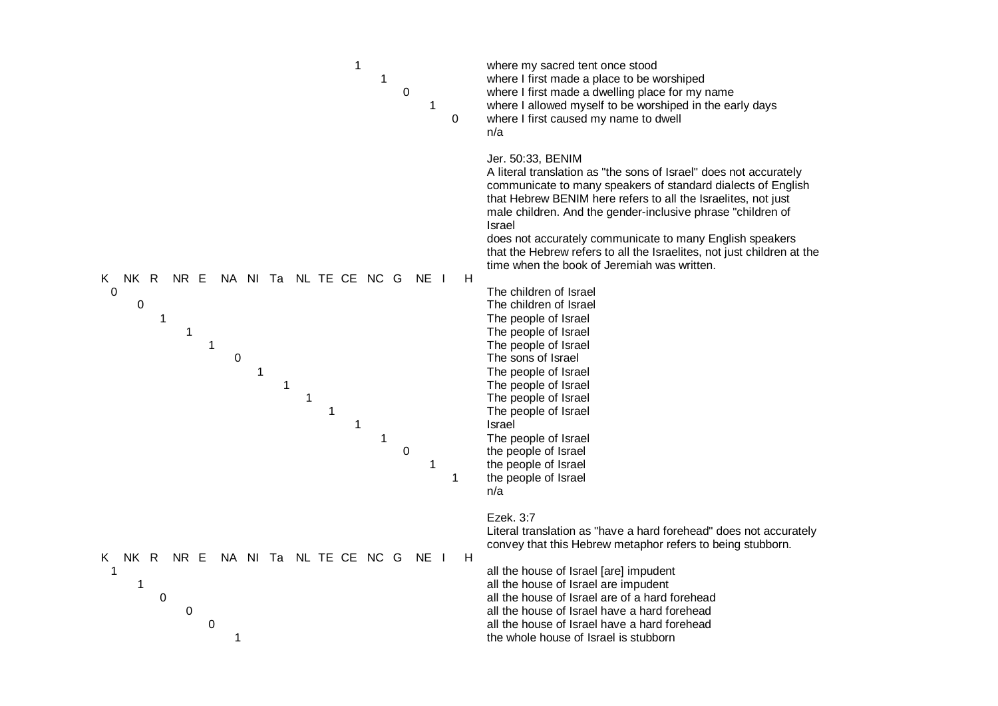| 1<br>1<br>$\mathbf 0$<br>1<br>0                                                                                                                                                                                                                | where my sacred tent once stood<br>where I first made a place to be worshiped<br>where I first made a dwelling place for my name<br>where I allowed myself to be worshiped in the early days<br>where I first caused my name to dwell<br>n/a                                                                                                                                                                                                                                          |
|------------------------------------------------------------------------------------------------------------------------------------------------------------------------------------------------------------------------------------------------|---------------------------------------------------------------------------------------------------------------------------------------------------------------------------------------------------------------------------------------------------------------------------------------------------------------------------------------------------------------------------------------------------------------------------------------------------------------------------------------|
|                                                                                                                                                                                                                                                | Jer. 50:33, BENIM<br>A literal translation as "the sons of Israel" does not accurately<br>communicate to many speakers of standard dialects of English<br>that Hebrew BENIM here refers to all the Israelites, not just<br>male children. And the gender-inclusive phrase "children of<br>Israel<br>does not accurately communicate to many English speakers<br>that the Hebrew refers to all the Israelites, not just children at the<br>time when the book of Jeremiah was written. |
| NK .<br>NL TE CE NC G<br>NE I<br>H<br>K.<br>R<br>NR E<br>NA NITa<br>$\mathbf 0$<br>$\mathbf 0$<br>$\mathbf 1$<br>1<br>1<br>$\pmb{0}$<br>1<br>$\mathbf 1$<br>1<br>$\mathbf{1}$<br>$\mathbf{1}$<br>$\mathbf{1}$<br>$\pmb{0}$<br>$\mathbf 1$<br>1 | The children of Israel<br>The children of Israel<br>The people of Israel<br>The people of Israel<br>The people of Israel<br>The sons of Israel<br>The people of Israel<br>The people of Israel<br>The people of Israel<br>The people of Israel<br>Israel<br>The people of Israel<br>the people of Israel<br>the people of Israel<br>the people of Israel<br>n/a                                                                                                                       |
| <b>NK</b><br>NA NI Ta NL TE CE NC G<br>K.<br>R<br>NR E<br>NE I<br>H<br>$\mathbf 1$<br>1<br>0<br>$\boldsymbol{0}$<br>0<br>1                                                                                                                     | Ezek. 3:7<br>Literal translation as "have a hard forehead" does not accurately<br>convey that this Hebrew metaphor refers to being stubborn.<br>all the house of Israel [are] impudent<br>all the house of Israel are impudent<br>all the house of Israel are of a hard forehead<br>all the house of Israel have a hard forehead<br>all the house of Israel have a hard forehead<br>the whole house of Israel is stubborn                                                             |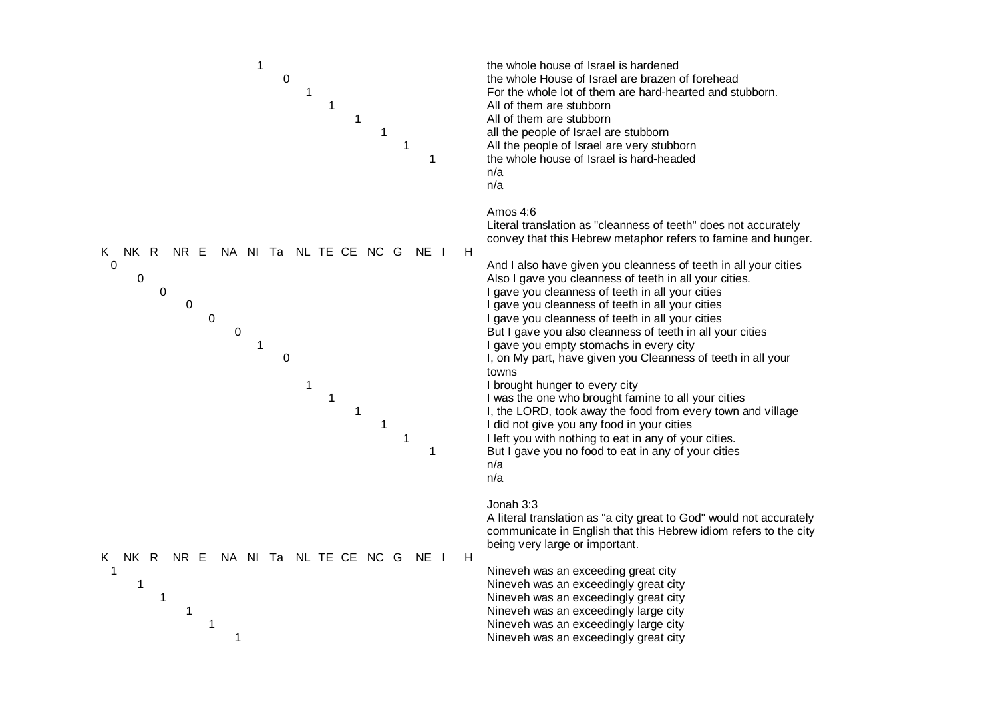![](_page_24_Figure_0.jpeg)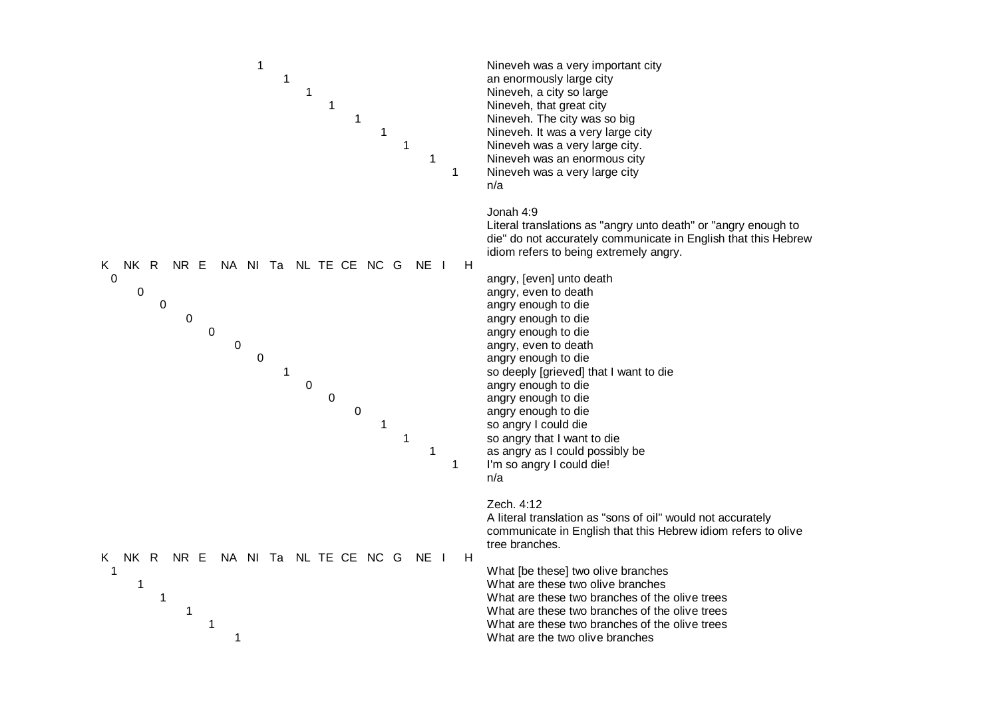![](_page_25_Figure_0.jpeg)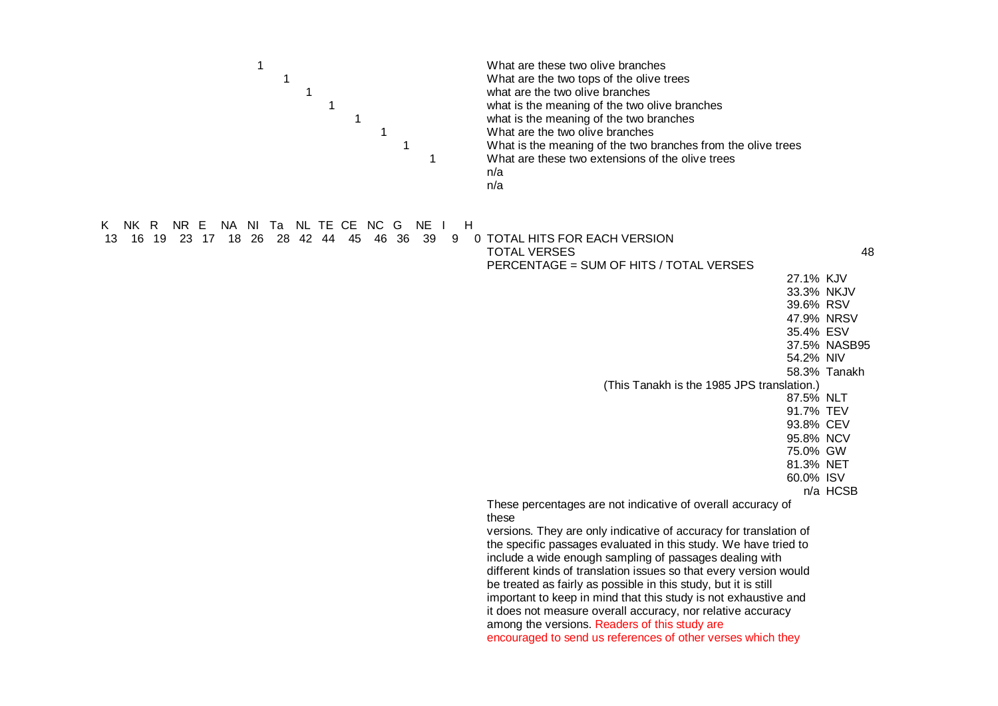| 1<br>1<br>1<br>1<br>$\mathbf{1}$<br>$\mathbf 1$<br>$\mathbf{1}$<br>$\mathbf 1$ | What are these two olive branches<br>What are the two tops of the olive trees<br>what are the two olive branches<br>what is the meaning of the two olive branches<br>what is the meaning of the two branches<br>What are the two olive branches<br>What is the meaning of the two branches from the olive trees<br>What are these two extensions of the olive trees<br>n/a<br>n/a |
|--------------------------------------------------------------------------------|-----------------------------------------------------------------------------------------------------------------------------------------------------------------------------------------------------------------------------------------------------------------------------------------------------------------------------------------------------------------------------------|
|                                                                                |                                                                                                                                                                                                                                                                                                                                                                                   |
| NK R NR E NA NI Ta NL TE CE NC G NE I<br>H<br>ĸ.<br>39                         |                                                                                                                                                                                                                                                                                                                                                                                   |
| 16 19 23 17 18 26 28 42 44 45 46 36<br>9<br>13                                 | 0 TOTAL HITS FOR EACH VERSION<br><b>TOTAL VERSES</b><br>48                                                                                                                                                                                                                                                                                                                        |
|                                                                                | PERCENTAGE = SUM OF HITS / TOTAL VERSES                                                                                                                                                                                                                                                                                                                                           |
|                                                                                | 27.1% KJV                                                                                                                                                                                                                                                                                                                                                                         |
|                                                                                | 33.3% NKJV                                                                                                                                                                                                                                                                                                                                                                        |
|                                                                                | 39.6% RSV                                                                                                                                                                                                                                                                                                                                                                         |
|                                                                                | 47.9% NRSV                                                                                                                                                                                                                                                                                                                                                                        |
|                                                                                | 35.4% ESV                                                                                                                                                                                                                                                                                                                                                                         |
|                                                                                | 37.5% NASB95                                                                                                                                                                                                                                                                                                                                                                      |
|                                                                                | 54.2% NIV                                                                                                                                                                                                                                                                                                                                                                         |
|                                                                                | 58.3% Tanakh                                                                                                                                                                                                                                                                                                                                                                      |
|                                                                                | (This Tanakh is the 1985 JPS translation.)<br>87.5% NLT                                                                                                                                                                                                                                                                                                                           |
|                                                                                | 91.7% TEV                                                                                                                                                                                                                                                                                                                                                                         |
|                                                                                | 93.8% CEV                                                                                                                                                                                                                                                                                                                                                                         |
|                                                                                | 95.8% NCV                                                                                                                                                                                                                                                                                                                                                                         |
|                                                                                | 75.0% GW                                                                                                                                                                                                                                                                                                                                                                          |
|                                                                                | 81.3% NET                                                                                                                                                                                                                                                                                                                                                                         |
|                                                                                | 60.0% ISV                                                                                                                                                                                                                                                                                                                                                                         |
|                                                                                | n/a HCSB                                                                                                                                                                                                                                                                                                                                                                          |
|                                                                                | These percentages are not indicative of overall accuracy of<br>these                                                                                                                                                                                                                                                                                                              |
|                                                                                | versions. They are only indicative of accuracy for translation of                                                                                                                                                                                                                                                                                                                 |
|                                                                                | the specific passages evaluated in this study. We have tried to                                                                                                                                                                                                                                                                                                                   |
|                                                                                | include a wide enough sampling of passages dealing with                                                                                                                                                                                                                                                                                                                           |
|                                                                                | different kinds of translation issues so that every version would                                                                                                                                                                                                                                                                                                                 |
|                                                                                | be treated as fairly as possible in this study, but it is still                                                                                                                                                                                                                                                                                                                   |
|                                                                                | important to keep in mind that this study is not exhaustive and<br>it does not measure overall accuracy, nor relative accuracy                                                                                                                                                                                                                                                    |
|                                                                                | among the versions. Readers of this study are                                                                                                                                                                                                                                                                                                                                     |
|                                                                                | encouraged to send us references of other verses which they                                                                                                                                                                                                                                                                                                                       |
|                                                                                |                                                                                                                                                                                                                                                                                                                                                                                   |